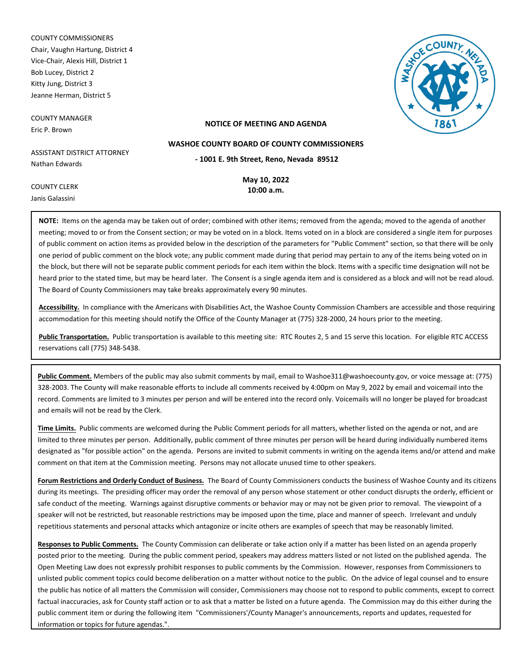COUNTY COMMISSIONERS Chair, Vaughn Hartung, District 4 Vice-Chair, Alexis Hill, District 1 Bob Lucey, District 2 Kitty Jung, District 3 Jeanne Herman, District 5

COUNTY MANAGER Eric P. Brown

COUNTY CLERK Janis Galassini



#### **NOTICE OF MEETING AND AGENDA**

**WASHOE COUNTY BOARD OF COUNTY COMMISSIONERS**

ASSISTANT DISTRICT ATTORNEY Nathan Edwards

**- 1001 E. 9th Street, Reno, Nevada 89512**

**May 10, 2022 10:00 a.m.**

**NOTE:** Items on the agenda may be taken out of order; combined with other items; removed from the agenda; moved to the agenda of another meeting; moved to or from the Consent section; or may be voted on in a block. Items voted on in a block are considered a single item for purposes of public comment on action items as provided below in the description of the parameters for "Public Comment" section, so that there will be only one period of public comment on the block vote; any public comment made during that period may pertain to any of the items being voted on in the block, but there will not be separate public comment periods for each item within the block. Items with a specific time designation will not be heard prior to the stated time, but may be heard later. The Consent is a single agenda item and is considered as a block and will not be read aloud. The Board of County Commissioners may take breaks approximately every 90 minutes.

**Accessibility.** In compliance with the Americans with Disabilities Act, the Washoe County Commission Chambers are accessible and those requiring accommodation for this meeting should notify the Office of the County Manager at (775) 328-2000, 24 hours prior to the meeting.

**Public Transportation.** Public transportation is available to this meeting site: RTC Routes 2, 5 and 15 serve this location. For eligible RTC ACCESS reservations call (775) 348-5438.

**Public Comment.** Members of the public may also submit comments by mail, email to Washoe311@washoecounty.gov, or voice message at: (775) 328-2003. The County will make reasonable efforts to include all comments received by 4:00pm on May 9, 2022 by email and voicemail into the record. Comments are limited to 3 minutes per person and will be entered into the record only. Voicemails will no longer be played for broadcast and emails will not be read by the Clerk.

**Time Limits.** Public comments are welcomed during the Public Comment periods for all matters, whether listed on the agenda or not, and are limited to three minutes per person. Additionally, public comment of three minutes per person will be heard during individually numbered items designated as "for possible action" on the agenda. Persons are invited to submit comments in writing on the agenda items and/or attend and make comment on that item at the Commission meeting. Persons may not allocate unused time to other speakers.

**Forum Restrictions and Orderly Conduct of Business.** The Board of County Commissioners conducts the business of Washoe County and its citizens during its meetings. The presiding officer may order the removal of any person whose statement or other conduct disrupts the orderly, efficient or safe conduct of the meeting. Warnings against disruptive comments or behavior may or may not be given prior to removal. The viewpoint of a speaker will not be restricted, but reasonable restrictions may be imposed upon the time, place and manner of speech. Irrelevant and unduly repetitious statements and personal attacks which antagonize or incite others are examples of speech that may be reasonably limited.

**Responses to Public Comments.** The County Commission can deliberate or take action only if a matter has been listed on an agenda properly posted prior to the meeting. During the public comment period, speakers may address matters listed or not listed on the published agenda. The Open Meeting Law does not expressly prohibit responses to public comments by the Commission. However, responses from Commissioners to unlisted public comment topics could become deliberation on a matter without notice to the public. On the advice of legal counsel and to ensure the public has notice of all matters the Commission will consider, Commissioners may choose not to respond to public comments, except to correct factual inaccuracies, ask for County staff action or to ask that a matter be listed on a future agenda. The Commission may do this either during the public comment item or during the following item "Commissioners'/County Manager's announcements, reports and updates, requested for information or topics for future agendas.".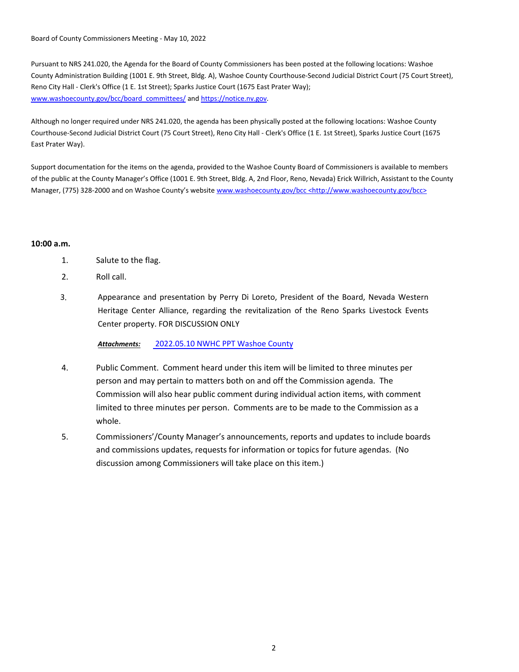Board of County Commissioners Meeting - May 10, 2022

Pursuant to NRS 241.020, the Agenda for the Board of County Commissioners has been posted at the following locations: Washoe County Administration Building (1001 E. 9th Street, Bldg. A), Washoe County Courthouse-Second Judicial District Court (75 Court Street), Reno City Hall - Clerk's Office (1 E. 1st Street); Sparks Justice Court (1675 East Prater Way); www.washoecounty.gov/bcc/board\_committees/ and https://notice.nv.gov.

Although no longer required under NRS 241.020, the agenda has been physically posted at the following locations: Washoe County Courthouse-Second Judicial District Court (75 Court Street), Reno City Hall - Clerk's Office (1 E. 1st Street), Sparks Justice Court (1675 East Prater Way).

Support documentation for the items on the agenda, provided to the Washoe County Board of Commissioners is available to members of the public at the County Manager's Office (1001 E. 9th Street, Bldg. A, 2nd Floor, Reno, Nevada) Erick Willrich, Assistant to the County Manager, (775) 328-2000 and on Washoe County's website www.washoecounty.gov/bcc <http://www.washoecounty.gov/bcc>

### **10:00 a.m.**

- 1. Salute to the flag.
- 2. Roll call.
- 3. Appearance and presentation by Perry Di Loreto, President of the Board, Nevada Western Heritage Center Alliance, regarding the revitalization of the Reno Sparks Livestock Events Center property. FOR DISCUSSION ONLY

*Attachments:* 2022.05.[10 NWHC PPT Washoe County](http://washoe-nv.legistar.com/gateway.aspx?M=F&ID=38c668f2-f9cd-40df-8058-0ab9624848d2.pdf)

- 4. Public Comment. Comment heard under this item will be limited to three minutes per person and may pertain to matters both on and off the Commission agenda. The Commission will also hear public comment during individual action items, with comment limited to three minutes per person. Comments are to be made to the Commission as a whole.
- 5. Commissioners'/County Manager's announcements, reports and updates to include boards and commissions updates, requests for information or topics for future agendas. (No discussion among Commissioners will take place on this item.)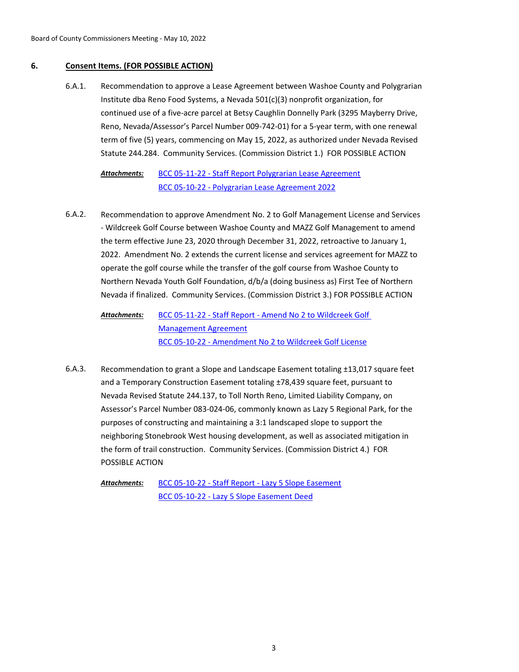## **6. Consent Items. (FOR POSSIBLE ACTION)**

Recommendation to approve a Lease Agreement between Washoe County and Polygrarian Institute dba Reno Food Systems, a Nevada 501(c)(3) nonprofit organization, for continued use of a five-acre parcel at Betsy Caughlin Donnelly Park (3295 Mayberry Drive, Reno, Nevada/Assessor's Parcel Number 009-742-01) for a 5-year term, with one renewal term of five (5) years, commencing on May 15, 2022, as authorized under Nevada Revised Statute 244.284. Community Services. (Commission District 1.) FOR POSSIBLE ACTION 6.A.1.

#### [BCC 05-11-22 - Staff Report Polygrarian Lease Agreement](http://washoe-nv.legistar.com/gateway.aspx?M=F&ID=e7528c58-9270-4b69-93c5-af01fb570911.doc) [BCC 05-10-22 - Polygrarian Lease Agreement 2022](http://washoe-nv.legistar.com/gateway.aspx?M=F&ID=c4defe03-f3f6-4c4b-bfaa-663538efdc12.docx) *Attachments:*

Recommendation to approve Amendment No. 2 to Golf Management License and Services - Wildcreek Golf Course between Washoe County and MAZZ Golf Management to amend the term effective June 23, 2020 through December 31, 2022, retroactive to January 1, 2022. Amendment No. 2 extends the current license and services agreement for MAZZ to operate the golf course while the transfer of the golf course from Washoe County to Northern Nevada Youth Golf Foundation, d/b/a (doing business as) First Tee of Northern Nevada if finalized. Community Services. (Commission District 3.) FOR POSSIBLE ACTION 6.A.2.

[BCC 05-11-22 - Staff Report - Amend No 2 to Wildcreek Golf](http://washoe-nv.legistar.com/gateway.aspx?M=F&ID=bb1c20f0-6cb5-4bab-9a46-99d943f247b0.docx)  Management Agreement [BCC 05-10-22 - Amendment No 2 to Wildcreek Golf License](http://washoe-nv.legistar.com/gateway.aspx?M=F&ID=f62048eb-46aa-41ed-abe6-8929841413a2.pdf) *Attachments:*

Recommendation to grant a Slope and Landscape Easement totaling ±13,017 square feet and a Temporary Construction Easement totaling ±78,439 square feet, pursuant to Nevada Revised Statute 244.137, to Toll North Reno, Limited Liability Company, on Assessor's Parcel Number 083-024-06, commonly known as Lazy 5 Regional Park, for the purposes of constructing and maintaining a 3:1 landscaped slope to support the neighboring Stonebrook West housing development, as well as associated mitigation in the form of trail construction. Community Services. (Commission District 4.) FOR POSSIBLE ACTION 6.A.3.

[BCC 05-10-22 - Staff Report - Lazy 5 Slope Easement](http://washoe-nv.legistar.com/gateway.aspx?M=F&ID=bc0a5006-3afe-4b63-9f01-ab70611075ef.doc) [BCC 05-10-22 - Lazy 5 Slope Easement Deed](http://washoe-nv.legistar.com/gateway.aspx?M=F&ID=7f734356-4b6a-40f2-a736-345fc8caf057.pdf) *Attachments:*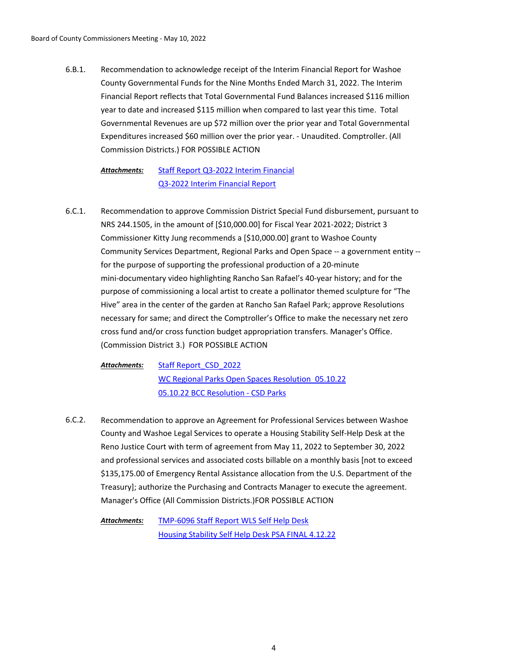Recommendation to acknowledge receipt of the Interim Financial Report for Washoe County Governmental Funds for the Nine Months Ended March 31, 2022. The Interim Financial Report reflects that Total Governmental Fund Balances increased \$116 million year to date and increased \$115 million when compared to last year this time. Total Governmental Revenues are up \$72 million over the prior year and Total Governmental Expenditures increased \$60 million over the prior year. - Unaudited. Comptroller. (All Commission Districts.) FOR POSSIBLE ACTION 6.B.1.

[Staff Report Q3-2022 Interim Financial](http://washoe-nv.legistar.com/gateway.aspx?M=F&ID=f642cbbc-71ef-4a88-be73-c38c18d97b83.docx) [Q3-2022 Interim Financial Report](http://washoe-nv.legistar.com/gateway.aspx?M=F&ID=ef95a740-d190-4a59-b2cd-a2c1d2982089.docx) *Attachments:*

Recommendation to approve Commission District Special Fund disbursement, pursuant to NRS 244.1505, in the amount of [\$10,000.00] for Fiscal Year 2021-2022; District 3 Commissioner Kitty Jung recommends a [\$10,000.00] grant to Washoe County Community Services Department, Regional Parks and Open Space -- a government entity - for the purpose of supporting the professional production of a 20-minute mini-documentary video highlighting Rancho San Rafael's 40-year history; and for the purpose of commissioning a local artist to create a pollinator themed sculpture for "The Hive" area in the center of the garden at Rancho San Rafael Park; approve Resolutions necessary for same; and direct the Comptroller's Office to make the necessary net zero cross fund and/or cross function budget appropriation transfers. Manager's Office. (Commission District 3.) FOR POSSIBLE ACTION 6.C.1.

[Staff Report\\_CSD\\_2022](http://washoe-nv.legistar.com/gateway.aspx?M=F&ID=b1d75889-2c28-4a65-b570-e5889e6abfe4.docx) WC Regional Parks Open Spaces Resolution 05.10.22 [05.10.22 BCC Resolution - CSD Parks](http://washoe-nv.legistar.com/gateway.aspx?M=F&ID=c930340a-de6c-4eba-98e5-8702e2770039.docx) *Attachments:*

Recommendation to approve an Agreement for Professional Services between Washoe County and Washoe Legal Services to operate a Housing Stability Self-Help Desk at the Reno Justice Court with term of agreement from May 11, 2022 to September 30, 2022 and professional services and associated costs billable on a monthly basis [not to exceed \$135,175.00 of Emergency Rental Assistance allocation from the U.S. Department of the Treasury]; authorize the Purchasing and Contracts Manager to execute the agreement. Manager's Office (All Commission Districts.)FOR POSSIBLE ACTION 6.C.2.

[TMP-6096 Staff Report WLS Self Help Desk](http://washoe-nv.legistar.com/gateway.aspx?M=F&ID=cf523dfe-d597-4bc3-890e-62a80c64034a.docx) [Housing Stability Self Help Desk PSA FINAL 4.12.22](http://washoe-nv.legistar.com/gateway.aspx?M=F&ID=0728dfd5-9e4e-4e35-8980-c6d3e69619bd.docx) *Attachments:*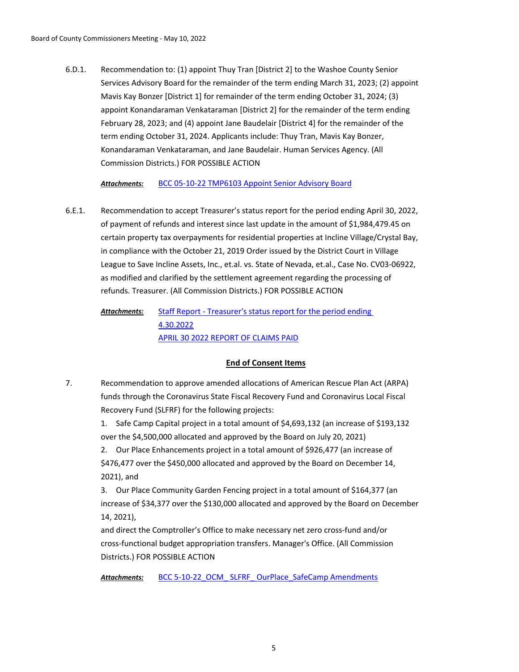Recommendation to: (1) appoint Thuy Tran [District 2] to the Washoe County Senior Services Advisory Board for the remainder of the term ending March 31, 2023; (2) appoint Mavis Kay Bonzer [District 1] for remainder of the term ending October 31, 2024; (3) appoint Konandaraman Venkataraman [District 2] for the remainder of the term ending February 28, 2023; and (4) appoint Jane Baudelair [District 4] for the remainder of the term ending October 31, 2024. Applicants include: Thuy Tran, Mavis Kay Bonzer, Konandaraman Venkataraman, and Jane Baudelair. Human Services Agency. (All Commission Districts.) FOR POSSIBLE ACTION 6.D.1.

*Attachments:* [BCC 05-10-22 TMP6103 Appoint Senior Advisory Board](http://washoe-nv.legistar.com/gateway.aspx?M=F&ID=2cac280e-19c1-43f4-a2ea-69aa2ebfaeb7.doc)

Recommendation to accept Treasurer's status report for the period ending April 30, 2022, of payment of refunds and interest since last update in the amount of \$1,984,479.45 on certain property tax overpayments for residential properties at Incline Village/Crystal Bay, in compliance with the October 21, 2019 Order issued by the District Court in Village League to Save Incline Assets, Inc., et.al. vs. State of Nevada, et.al., Case No. CV03-06922, as modified and clarified by the settlement agreement regarding the processing of refunds. Treasurer. (All Commission Districts.) FOR POSSIBLE ACTION 6.E.1.

[Staff Report - Treasurer's status report for the period ending](http://washoe-nv.legistar.com/gateway.aspx?M=F&ID=735eb362-ad30-43f0-8489-e4169d6b6958.doc)  4.30.2022 [APRIL 30 2022 REPORT OF CLAIMS PAID](http://washoe-nv.legistar.com/gateway.aspx?M=F&ID=22455983-267a-4df7-adaa-ac574b2324d6.pdf) *Attachments:*

## **End of Consent Items**

Recommendation to approve amended allocations of American Rescue Plan Act (ARPA) funds through the Coronavirus State Fiscal Recovery Fund and Coronavirus Local Fiscal Recovery Fund (SLFRF) for the following projects: 7.

> 1. Safe Camp Capital project in a total amount of \$4,693,132 (an increase of \$193,132 over the \$4,500,000 allocated and approved by the Board on July 20, 2021)

2. Our Place Enhancements project in a total amount of \$926,477 (an increase of \$476,477 over the \$450,000 allocated and approved by the Board on December 14, 2021), and

3. Our Place Community Garden Fencing project in a total amount of \$164,377 (an increase of \$34,377 over the \$130,000 allocated and approved by the Board on December 14, 2021),

and direct the Comptroller's Office to make necessary net zero cross-fund and/or cross-functional budget appropriation transfers. Manager's Office. (All Commission Districts.) FOR POSSIBLE ACTION

Attachments: BCC 5-10-22 OCM SLFRF OurPlace SafeCamp Amendments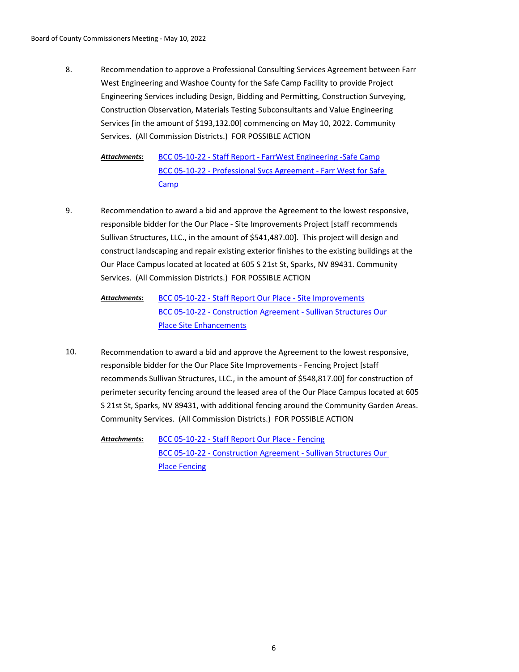Recommendation to approve a Professional Consulting Services Agreement between Farr West Engineering and Washoe County for the Safe Camp Facility to provide Project Engineering Services including Design, Bidding and Permitting, Construction Surveying, Construction Observation, Materials Testing Subconsultants and Value Engineering Services [in the amount of \$193,132.00] commencing on May 10, 2022. Community Services. (All Commission Districts.) FOR POSSIBLE ACTION 8.

[BCC 05-10-22 - Staff Report - FarrWest Engineering -Safe Camp](http://washoe-nv.legistar.com/gateway.aspx?M=F&ID=fa9993af-f584-487f-a339-1ec0c76d83bb.doc) [BCC 05-10-22 - Professional Svcs Agreement - Farr West for Safe](http://washoe-nv.legistar.com/gateway.aspx?M=F&ID=fc5b4138-e178-424e-bc98-0f97eda5f123.pdf)  Camp *Attachments:*

- Recommendation to award a bid and approve the Agreement to the lowest responsive, responsible bidder for the Our Place - Site Improvements Project [staff recommends Sullivan Structures, LLC., in the amount of \$541,487.00]. This project will design and construct landscaping and repair existing exterior finishes to the existing buildings at the Our Place Campus located at located at 605 S 21st St, Sparks, NV 89431. Community Services. (All Commission Districts.) FOR POSSIBLE ACTION 9.
	- [BCC 05-10-22 Staff Report Our Place Site Improvements](http://washoe-nv.legistar.com/gateway.aspx?M=F&ID=0b3e500c-4dd8-4115-8bd5-0e3efac6ce7e.doc) [BCC 05-10-22 - Construction Agreement - Sullivan Structures Our](http://washoe-nv.legistar.com/gateway.aspx?M=F&ID=482d04a4-c52b-4827-86c1-d00eddae21e2.pdf)  Place Site Enhancements *Attachments:*
- Recommendation to award a bid and approve the Agreement to the lowest responsive, responsible bidder for the Our Place Site Improvements - Fencing Project [staff recommends Sullivan Structures, LLC., in the amount of \$548,817.00] for construction of perimeter security fencing around the leased area of the Our Place Campus located at 605 S 21st St, Sparks, NV 89431, with additional fencing around the Community Garden Areas. Community Services. (All Commission Districts.) FOR POSSIBLE ACTION 10.

[BCC 05-10-22 - Staff Report Our Place - Fencing](http://washoe-nv.legistar.com/gateway.aspx?M=F&ID=2ef662fc-5393-4c00-ad5d-9e9d9ebfe11e.doc) [BCC 05-10-22 - Construction Agreement - Sullivan Structures Our](http://washoe-nv.legistar.com/gateway.aspx?M=F&ID=2906e4bb-9822-407c-9dd2-4b4230038644.pdf)  Place Fencing *Attachments:*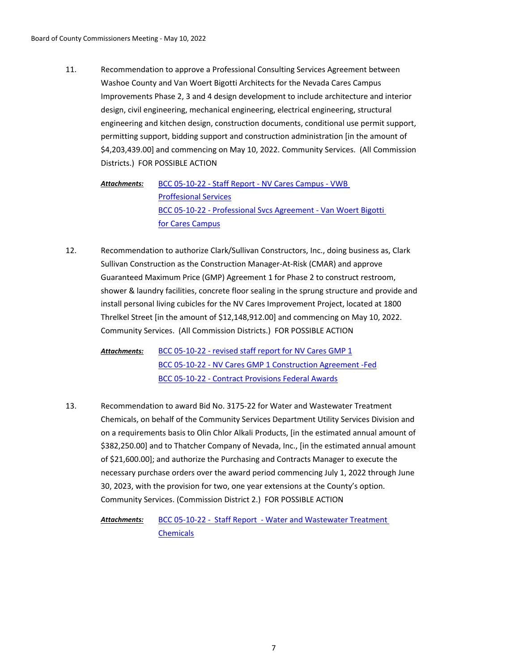Recommendation to approve a Professional Consulting Services Agreement between Washoe County and Van Woert Bigotti Architects for the Nevada Cares Campus Improvements Phase 2, 3 and 4 design development to include architecture and interior design, civil engineering, mechanical engineering, electrical engineering, structural engineering and kitchen design, construction documents, conditional use permit support, permitting support, bidding support and construction administration [in the amount of \$4,203,439.00] and commencing on May 10, 2022. Community Services. (All Commission Districts.) FOR POSSIBLE ACTION 11.

[BCC 05-10-22 - Staff Report - NV Cares Campus - VWB](http://washoe-nv.legistar.com/gateway.aspx?M=F&ID=c2ad78ce-3526-4f30-a3f4-e3b789baf65a.doc)  Proffesional Services [BCC 05-10-22 - Professional Svcs Agreement - Van Woert Bigotti](http://washoe-nv.legistar.com/gateway.aspx?M=F&ID=139510f6-6e87-4ada-ac02-698fb3271119.pdf)  for Cares Campus *Attachments:*

- Recommendation to authorize Clark/Sullivan Constructors, Inc., doing business as, Clark Sullivan Construction as the Construction Manager-At-Risk (CMAR) and approve Guaranteed Maximum Price (GMP) Agreement 1 for Phase 2 to construct restroom, shower & laundry facilities, concrete floor sealing in the sprung structure and provide and install personal living cubicles for the NV Cares Improvement Project, located at 1800 Threlkel Street [in the amount of \$12,148,912.00] and commencing on May 10, 2022. Community Services. (All Commission Districts.) FOR POSSIBLE ACTION 12.
	- [BCC 05-10-22 revised staff report for NV Cares GMP 1](http://washoe-nv.legistar.com/gateway.aspx?M=F&ID=a687f49b-71ec-40e1-a8e1-ca689fafa88a.doc) [BCC 05-10-22 - NV Cares GMP 1 Construction Agreement -Fed](http://washoe-nv.legistar.com/gateway.aspx?M=F&ID=92a4c78e-84d8-47e0-9c0b-cad1987ee5cf.pdf) [BCC 05-10-22 - Contract Provisions Federal Awards](http://washoe-nv.legistar.com/gateway.aspx?M=F&ID=fa780dd7-19c0-4690-b79a-55f56b45532a.docx) *Attachments:*
- Recommendation to award Bid No. 3175-22 for Water and Wastewater Treatment Chemicals, on behalf of the Community Services Department Utility Services Division and on a requirements basis to Olin Chlor Alkali Products, [in the estimated annual amount of \$382,250.00] and to Thatcher Company of Nevada, Inc., [in the estimated annual amount of \$21,600.00]; and authorize the Purchasing and Contracts Manager to execute the necessary purchase orders over the award period commencing July 1, 2022 through June 30, 2023, with the provision for two, one year extensions at the County's option. Community Services. (Commission District 2.) FOR POSSIBLE ACTION 13.

[BCC 05-10-22 - Staff Report - Water and Wastewater Treatment](http://washoe-nv.legistar.com/gateway.aspx?M=F&ID=b9f0d21f-fd4b-46f5-b80b-1d5bcfc0ab46.docx)  **Chemicals** *Attachments:*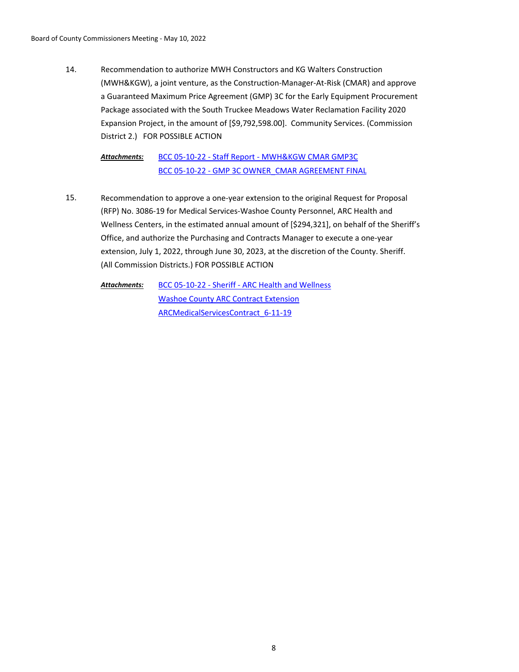Recommendation to authorize MWH Constructors and KG Walters Construction (MWH&KGW), a joint venture, as the Construction-Manager-At-Risk (CMAR) and approve a Guaranteed Maximum Price Agreement (GMP) 3C for the Early Equipment Procurement Package associated with the South Truckee Meadows Water Reclamation Facility 2020 Expansion Project, in the amount of [\$9,792,598.00]. Community Services. (Commission District 2.) FOR POSSIBLE ACTION 14.

[BCC 05-10-22 - Staff Report - MWH&KGW CMAR GMP3C](http://washoe-nv.legistar.com/gateway.aspx?M=F&ID=c6cdeb0f-0d07-46ba-9f6a-93ac1a3d3b95.doc) [BCC 05-10-22 - GMP 3C OWNER\\_CMAR AGREEMENT FINAL](http://washoe-nv.legistar.com/gateway.aspx?M=F&ID=a090485b-dd82-4027-93a6-eaa3e6ebcd13.pdf) *Attachments:*

Recommendation to approve a one-year extension to the original Request for Proposal (RFP) No. 3086-19 for Medical Services-Washoe County Personnel, ARC Health and Wellness Centers, in the estimated annual amount of [\$294,321], on behalf of the Sheriff's Office, and authorize the Purchasing and Contracts Manager to execute a one-year extension, July 1, 2022, through June 30, 2023, at the discretion of the County. Sheriff. (All Commission Districts.) FOR POSSIBLE ACTION 15.

[BCC 05-10-22 - Sheriff - ARC Health and Wellness](http://washoe-nv.legistar.com/gateway.aspx?M=F&ID=01b040a7-4afe-4f80-94a4-72d231c9be01.doc) [Washoe County ARC Contract Extension](http://washoe-nv.legistar.com/gateway.aspx?M=F&ID=7b433a90-b9a3-410d-94b8-30dc225d6926.pdf) ARCMedicalServicesContract 6-11-19 *Attachments:*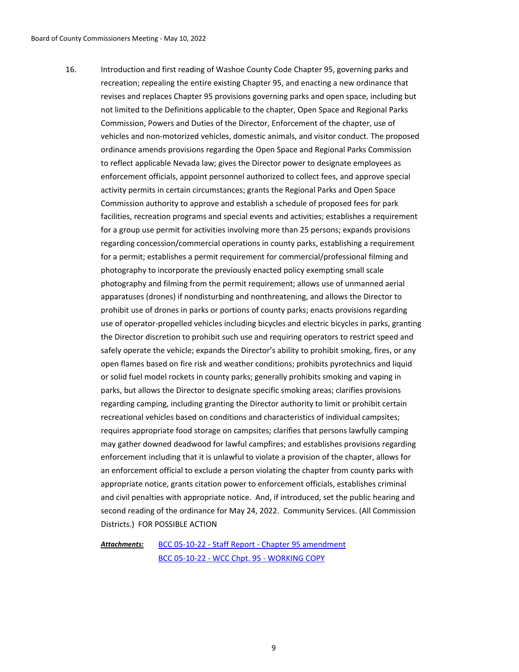Introduction and first reading of Washoe County Code Chapter 95, governing parks and recreation; repealing the entire existing Chapter 95, and enacting a new ordinance that revises and replaces Chapter 95 provisions governing parks and open space, including but not limited to the Definitions applicable to the chapter, Open Space and Regional Parks Commission, Powers and Duties of the Director, Enforcement of the chapter, use of vehicles and non-motorized vehicles, domestic animals, and visitor conduct. The proposed ordinance amends provisions regarding the Open Space and Regional Parks Commission to reflect applicable Nevada law; gives the Director power to designate employees as enforcement officials, appoint personnel authorized to collect fees, and approve special activity permits in certain circumstances; grants the Regional Parks and Open Space Commission authority to approve and establish a schedule of proposed fees for park facilities, recreation programs and special events and activities; establishes a requirement for a group use permit for activities involving more than 25 persons; expands provisions regarding concession/commercial operations in county parks, establishing a requirement for a permit; establishes a permit requirement for commercial/professional filming and photography to incorporate the previously enacted policy exempting small scale photography and filming from the permit requirement; allows use of unmanned aerial apparatuses (drones) if nondisturbing and nonthreatening, and allows the Director to prohibit use of drones in parks or portions of county parks; enacts provisions regarding use of operator-propelled vehicles including bicycles and electric bicycles in parks, granting the Director discretion to prohibit such use and requiring operators to restrict speed and safely operate the vehicle; expands the Director's ability to prohibit smoking, fires, or any open flames based on fire risk and weather conditions; prohibits pyrotechnics and liquid or solid fuel model rockets in county parks; generally prohibits smoking and vaping in parks, but allows the Director to designate specific smoking areas; clarifies provisions regarding camping, including granting the Director authority to limit or prohibit certain recreational vehicles based on conditions and characteristics of individual campsites; requires appropriate food storage on campsites; clarifies that persons lawfully camping may gather downed deadwood for lawful campfires; and establishes provisions regarding enforcement including that it is unlawful to violate a provision of the chapter, allows for an enforcement official to exclude a person violating the chapter from county parks with appropriate notice, grants citation power to enforcement officials, establishes criminal and civil penalties with appropriate notice. And, if introduced, set the public hearing and second reading of the ordinance for May 24, 2022. Community Services. (All Commission Districts.) FOR POSSIBLE ACTION 16.

[BCC 05-10-22 - Staff Report - Chapter 95 amendment](http://washoe-nv.legistar.com/gateway.aspx?M=F&ID=440f4d66-fca3-4cc1-b397-4d6fe6f3cc5a.doc) [BCC 05-10-22 - WCC Chpt. 95 - WORKING COPY](http://washoe-nv.legistar.com/gateway.aspx?M=F&ID=a713eea5-7c31-4e6a-8a9f-b044db396011.docx) *Attachments:*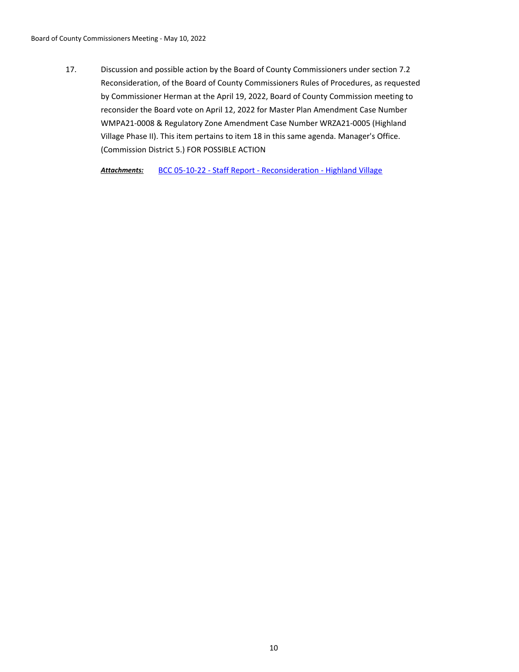Discussion and possible action by the Board of County Commissioners under section 7.2 Reconsideration, of the Board of County Commissioners Rules of Procedures, as requested by Commissioner Herman at the April 19, 2022, Board of County Commission meeting to reconsider the Board vote on April 12, 2022 for Master Plan Amendment Case Number WMPA21-0008 & Regulatory Zone Amendment Case Number WRZA21-0005 (Highland Village Phase II). This item pertains to item 18 in this same agenda. Manager's Office. (Commission District 5.) FOR POSSIBLE ACTION 17.

*Attachments:* [BCC 05-10-22 - Staff Report - Reconsideration - Highland Village](http://washoe-nv.legistar.com/gateway.aspx?M=F&ID=9abea103-8f17-4b3d-8478-143f407bb722.docx)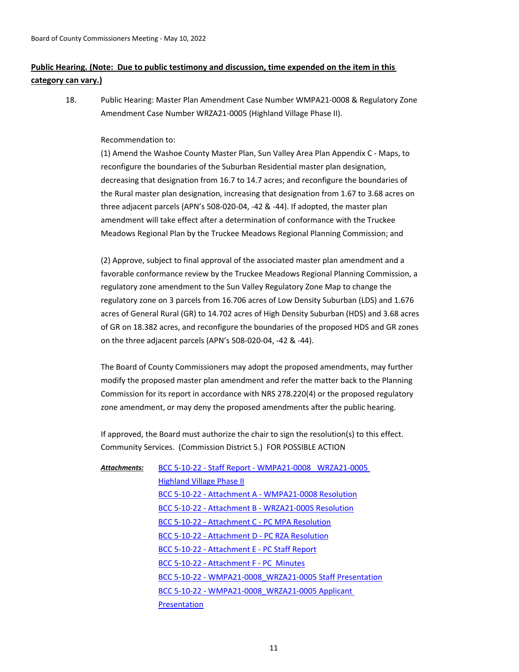# **Public Hearing. (Note: Due to public testimony and discussion, time expended on the item in this category can vary.)**

Public Hearing: Master Plan Amendment Case Number WMPA21-0008 & Regulatory Zone Amendment Case Number WRZA21-0005 (Highland Village Phase II). 18.

## Recommendation to:

(1) Amend the Washoe County Master Plan, Sun Valley Area Plan Appendix C - Maps, to reconfigure the boundaries of the Suburban Residential master plan designation, decreasing that designation from 16.7 to 14.7 acres; and reconfigure the boundaries of the Rural master plan designation, increasing that designation from 1.67 to 3.68 acres on three adjacent parcels (APN's 508-020-04, -42 & -44). If adopted, the master plan amendment will take effect after a determination of conformance with the Truckee Meadows Regional Plan by the Truckee Meadows Regional Planning Commission; and

(2) Approve, subject to final approval of the associated master plan amendment and a favorable conformance review by the Truckee Meadows Regional Planning Commission, a regulatory zone amendment to the Sun Valley Regulatory Zone Map to change the regulatory zone on 3 parcels from 16.706 acres of Low Density Suburban (LDS) and 1.676 acres of General Rural (GR) to 14.702 acres of High Density Suburban (HDS) and 3.68 acres of GR on 18.382 acres, and reconfigure the boundaries of the proposed HDS and GR zones on the three adjacent parcels (APN's 508-020-04, -42 & -44).

The Board of County Commissioners may adopt the proposed amendments, may further modify the proposed master plan amendment and refer the matter back to the Planning Commission for its report in accordance with NRS 278.220(4) or the proposed regulatory zone amendment, or may deny the proposed amendments after the public hearing.

If approved, the Board must authorize the chair to sign the resolution(s) to this effect. Community Services. (Commission District 5.) FOR POSSIBLE ACTION

[BCC 5-10-22 - Staff Report - WMPA21-0008 \\_WRZA21-0005](http://washoe-nv.legistar.com/gateway.aspx?M=F&ID=76b96f85-cc46-466e-a9c1-956114f16879.doc)  Highland Village Phase II [BCC 5-10-22 - Attachment A - WMPA21-0008 Resolution](http://washoe-nv.legistar.com/gateway.aspx?M=F&ID=5b0ddb4c-0d1d-4170-9038-d82f0cd3dd38.pdf) [BCC 5-10-22 - Attachment B - WRZA21-0005 Resolution](http://washoe-nv.legistar.com/gateway.aspx?M=F&ID=b6783b18-0952-4428-bafd-583283d523ba.pdf) [BCC 5-10-22 - Attachment C - PC MPA Resolution](http://washoe-nv.legistar.com/gateway.aspx?M=F&ID=d77bbdda-52e4-42a6-9c31-776144d9ac01.pdf) [BCC 5-10-22 - Attachment D - PC RZA Resolution](http://washoe-nv.legistar.com/gateway.aspx?M=F&ID=542e3a9d-e6cc-4759-91a8-413ceabddb9d.pdf) [BCC 5-10-22 - Attachment E - PC Staff Report](http://washoe-nv.legistar.com/gateway.aspx?M=F&ID=0e9e901a-9aff-46e3-a200-3990986e6a2e.pdf) [BCC 5-10-22 - Attachment F - PC Minutes](http://washoe-nv.legistar.com/gateway.aspx?M=F&ID=d3d67b1e-b66a-4c1d-8a7c-c518dac1cdb9.pdf) [BCC 5-10-22 - WMPA21-0008\\_WRZA21-0005 Staff Presentation](http://washoe-nv.legistar.com/gateway.aspx?M=F&ID=7d26be82-215b-4277-b349-6de9ba9a63c6.pdf) [BCC 5-10-22 - WMPA21-0008\\_WRZA21-0005 Applicant](http://washoe-nv.legistar.com/gateway.aspx?M=F&ID=b96b33d4-a0b9-47b7-900b-ffa5b32a502a.pdf)  **Presentation** *Attachments:*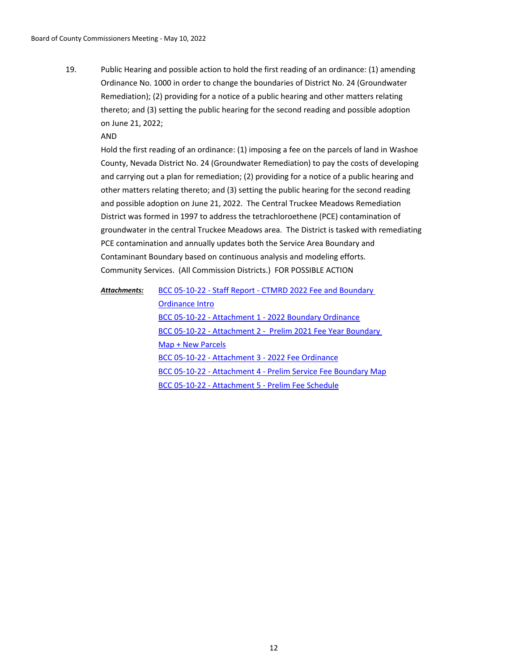Public Hearing and possible action to hold the first reading of an ordinance: (1) amending Ordinance No. 1000 in order to change the boundaries of District No. 24 (Groundwater Remediation); (2) providing for a notice of a public hearing and other matters relating thereto; and (3) setting the public hearing for the second reading and possible adoption on June 21, 2022; 19.

#### AND

Hold the first reading of an ordinance: (1) imposing a fee on the parcels of land in Washoe County, Nevada District No. 24 (Groundwater Remediation) to pay the costs of developing and carrying out a plan for remediation; (2) providing for a notice of a public hearing and other matters relating thereto; and (3) setting the public hearing for the second reading and possible adoption on June 21, 2022. The Central Truckee Meadows Remediation District was formed in 1997 to address the tetrachloroethene (PCE) contamination of groundwater in the central Truckee Meadows area. The District is tasked with remediating PCE contamination and annually updates both the Service Area Boundary and Contaminant Boundary based on continuous analysis and modeling efforts. Community Services. (All Commission Districts.) FOR POSSIBLE ACTION

[BCC 05-10-22 - Staff Report - CTMRD 2022 Fee and Boundary](http://washoe-nv.legistar.com/gateway.aspx?M=F&ID=53133e97-c2b0-4216-8641-9187ae723fde.docx)  Ordinance Intro [BCC 05-10-22 - Attachment 1 - 2022 Boundary Ordinance](http://washoe-nv.legistar.com/gateway.aspx?M=F&ID=00d3a5f2-0c63-4452-92fb-e94d97f5fe3b.docx) [BCC 05-10-22 - Attachment 2 - Prelim 2021 Fee Year Boundary](http://washoe-nv.legistar.com/gateway.aspx?M=F&ID=54418549-e16f-4ac2-823e-852bc7579e7c.pdf)  Map + New Parcels [BCC 05-10-22 - Attachment 3 - 2022 Fee Ordinance](http://washoe-nv.legistar.com/gateway.aspx?M=F&ID=b81315aa-81ce-44c2-a253-0fa04c9afde8.docx) [BCC 05-10-22 - Attachment 4 - Prelim Service Fee Boundary Map](http://washoe-nv.legistar.com/gateway.aspx?M=F&ID=9175bc0d-5f99-4d0f-bdfc-c3a5a937bab7.pdf) [BCC 05-10-22 - Attachment 5 - Prelim Fee Schedule](http://washoe-nv.legistar.com/gateway.aspx?M=F&ID=2098b4d9-81ee-4f62-8214-f98fdb1b2027.pdf) *Attachments:*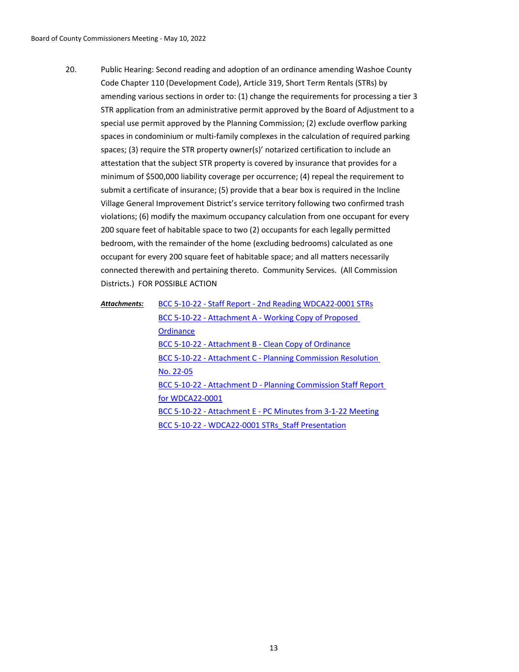Public Hearing: Second reading and adoption of an ordinance amending Washoe County Code Chapter 110 (Development Code), Article 319, Short Term Rentals (STRs) by amending various sections in order to: (1) change the requirements for processing a tier 3 STR application from an administrative permit approved by the Board of Adjustment to a special use permit approved by the Planning Commission; (2) exclude overflow parking spaces in condominium or multi-family complexes in the calculation of required parking spaces; (3) require the STR property owner(s)' notarized certification to include an attestation that the subject STR property is covered by insurance that provides for a minimum of \$500,000 liability coverage per occurrence; (4) repeal the requirement to submit a certificate of insurance; (5) provide that a bear box is required in the Incline Village General Improvement District's service territory following two confirmed trash violations; (6) modify the maximum occupancy calculation from one occupant for every 200 square feet of habitable space to two (2) occupants for each legally permitted bedroom, with the remainder of the home (excluding bedrooms) calculated as one occupant for every 200 square feet of habitable space; and all matters necessarily connected therewith and pertaining thereto. Community Services. (All Commission Districts.) FOR POSSIBLE ACTION 20.

| Attachments: | BCC 5-10-22 - Staff Report - 2nd Reading WDCA22-0001 STRs            |
|--------------|----------------------------------------------------------------------|
|              | BCC 5-10-22 - Attachment A - Working Copy of Proposed                |
|              | Ordinance                                                            |
|              | BCC 5-10-22 - Attachment B - Clean Copy of Ordinance                 |
|              | BCC 5-10-22 - Attachment C - Planning Commission Resolution          |
|              | No. 22-05                                                            |
|              | <b>BCC 5-10-22 - Attachment D - Planning Commission Staff Report</b> |
|              | for WDCA22-0001                                                      |
|              | BCC 5-10-22 - Attachment E - PC Minutes from 3-1-22 Meeting          |
|              | BCC 5-10-22 - WDCA22-0001 STRs Staff Presentation                    |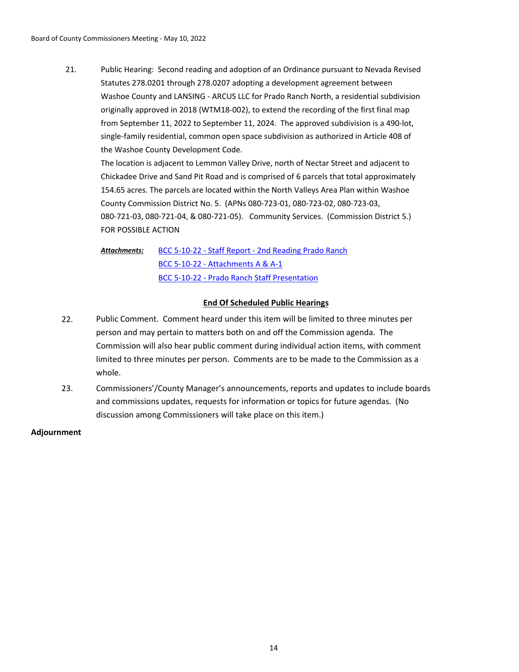Public Hearing: Second reading and adoption of an Ordinance pursuant to Nevada Revised Statutes 278.0201 through 278.0207 adopting a development agreement between Washoe County and LANSING - ARCUS LLC for Prado Ranch North, a residential subdivision originally approved in 2018 (WTM18-002), to extend the recording of the first final map from September 11, 2022 to September 11, 2024. The approved subdivision is a 490-lot, single-family residential, common open space subdivision as authorized in Article 408 of the Washoe County Development Code. 21.

The location is adjacent to Lemmon Valley Drive, north of Nectar Street and adjacent to Chickadee Drive and Sand Pit Road and is comprised of 6 parcels that total approximately 154.65 acres. The parcels are located within the North Valleys Area Plan within Washoe County Commission District No. 5. (APNs 080-723-01, 080-723-02, 080-723-03, 080-721-03, 080-721-04, & 080-721-05). Community Services. (Commission District 5.) FOR POSSIBLE ACTION

[BCC 5-10-22 - Staff Report - 2nd Reading Prado Ranch](http://washoe-nv.legistar.com/gateway.aspx?M=F&ID=df1d6711-7211-4620-8f38-78a3e58fd1a9.docx) [BCC 5-10-22 - Attachments A & A-1](http://washoe-nv.legistar.com/gateway.aspx?M=F&ID=8a2fba6f-7af4-43f1-9c15-b13188ae2e77.pdf) [BCC 5-10-22 - Prado Ranch Staff Presentation](http://washoe-nv.legistar.com/gateway.aspx?M=F&ID=009be0dc-85be-4600-a627-130448d25325.pdf) *Attachments:*

## **End Of Scheduled Public Hearings**

- 22. Public Comment. Comment heard under this item will be limited to three minutes per person and may pertain to matters both on and off the Commission agenda. The Commission will also hear public comment during individual action items, with comment limited to three minutes per person. Comments are to be made to the Commission as a whole.
- 23. Commissioners'/County Manager's announcements, reports and updates to include boards and commissions updates, requests for information or topics for future agendas. (No discussion among Commissioners will take place on this item.)

**Adjournment**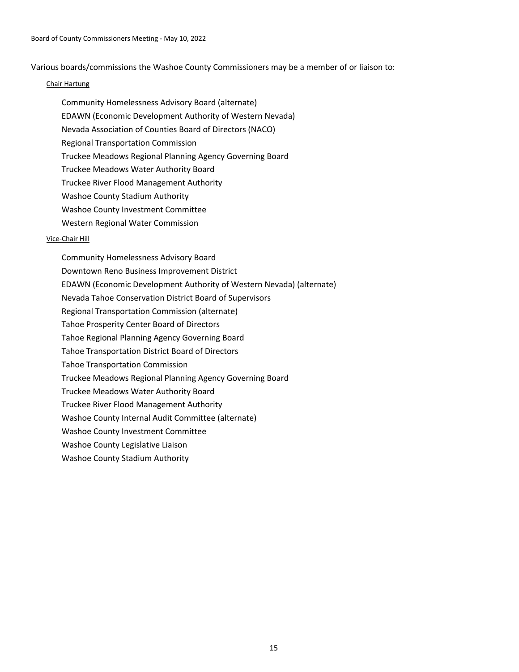Various boards/commissions the Washoe County Commissioners may be a member of or liaison to:

### Chair Hartung

- Community Homelessness Advisory Board (alternate)
- EDAWN (Economic Development Authority of Western Nevada)
- Nevada Association of Counties Board of Directors (NACO)
- Regional Transportation Commission
- Truckee Meadows Regional Planning Agency Governing Board
- Truckee Meadows Water Authority Board
- Truckee River Flood Management Authority
- Washoe County Stadium Authority
- Washoe County Investment Committee
- Western Regional Water Commission

## Vice-Chair Hill

Community Homelessness Advisory Board Downtown Reno Business Improvement District EDAWN (Economic Development Authority of Western Nevada) (alternate) Nevada Tahoe Conservation District Board of Supervisors Regional Transportation Commission (alternate) Tahoe Prosperity Center Board of Directors Tahoe Regional Planning Agency Governing Board Tahoe Transportation District Board of Directors Tahoe Transportation Commission Truckee Meadows Regional Planning Agency Governing Board Truckee Meadows Water Authority Board Truckee River Flood Management Authority Washoe County Internal Audit Committee (alternate) Washoe County Investment Committee Washoe County Legislative Liaison Washoe County Stadium Authority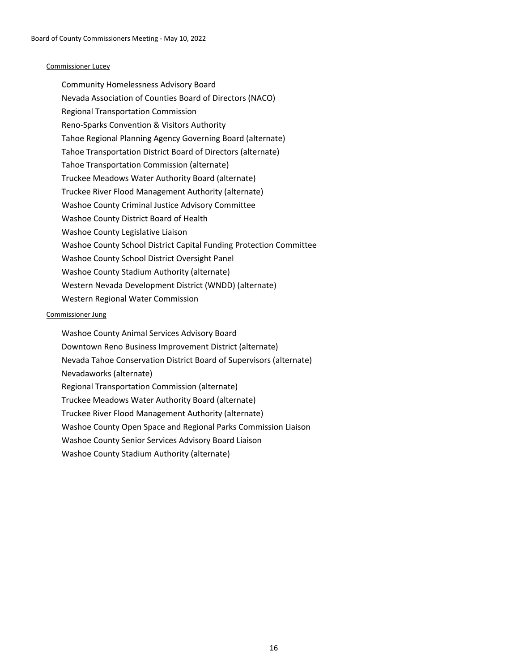#### Commissioner Lucey

Community Homelessness Advisory Board Nevada Association of Counties Board of Directors (NACO) Regional Transportation Commission Reno-Sparks Convention & Visitors Authority Tahoe Regional Planning Agency Governing Board (alternate) Tahoe Transportation District Board of Directors (alternate) Tahoe Transportation Commission (alternate) Truckee Meadows Water Authority Board (alternate) Truckee River Flood Management Authority (alternate) Washoe County Criminal Justice Advisory Committee Washoe County District Board of Health Washoe County Legislative Liaison Washoe County School District Capital Funding Protection Committee Washoe County School District Oversight Panel Washoe County Stadium Authority (alternate) Western Nevada Development District (WNDD) (alternate) Western Regional Water Commission

### Commissioner Jung

Washoe County Animal Services Advisory Board Downtown Reno Business Improvement District (alternate) Nevada Tahoe Conservation District Board of Supervisors (alternate) Nevadaworks (alternate) Regional Transportation Commission (alternate) Truckee Meadows Water Authority Board (alternate) Truckee River Flood Management Authority (alternate) Washoe County Open Space and Regional Parks Commission Liaison Washoe County Senior Services Advisory Board Liaison Washoe County Stadium Authority (alternate)